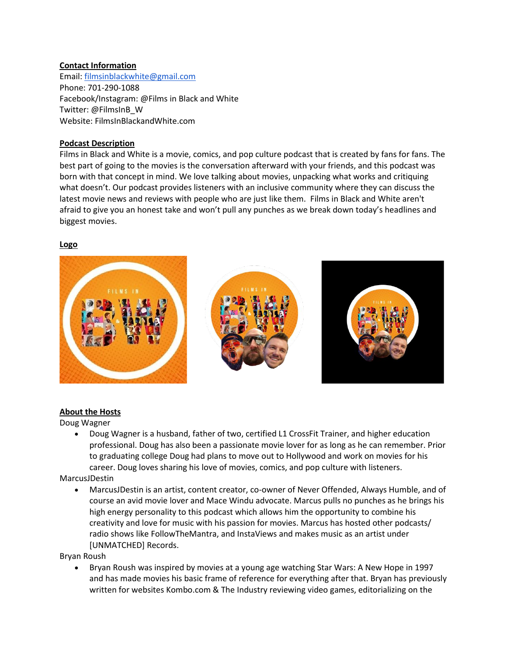### **Contact Information**

Email: [filmsinblackwhite@gmail.com](mailto:filmsinblackwhite@gmail.com) Phone: 701-290-1088 Facebook/Instagram: @Films in Black and White Twitter: @FilmsInB\_W Website: FilmsInBlackandWhite.com

# **Podcast Description**

Films in Black and White is a movie, comics, and pop culture podcast that is created by fans for fans. The best part of going to the movies is the conversation afterward with your friends, and this podcast was born with that concept in mind. We love talking about movies, unpacking what works and critiquing what doesn't. Our podcast provides listeners with an inclusive community where they can discuss the latest movie news and reviews with people who are just like them. Films in Black and White aren't afraid to give you an honest take and won't pull any punches as we break down today's headlines and biggest movies.

### **Logo**



### **About the Hosts**

Doug Wagner

 Doug Wagner is a husband, father of two, certified L1 CrossFit Trainer, and higher education professional. Doug has also been a passionate movie lover for as long as he can remember. Prior to graduating college Doug had plans to move out to Hollywood and work on movies for his career. Doug loves sharing his love of movies, comics, and pop culture with listeners.

MarcusJDestin

 MarcusJDestin is an artist, content creator, co-owner of Never Offended, Always Humble, and of course an avid movie lover and Mace Windu advocate. Marcus pulls no punches as he brings his high energy personality to this podcast which allows him the opportunity to combine his creativity and love for music with his passion for movies. Marcus has hosted other podcasts/ radio shows like FollowTheMantra, and InstaViews and makes music as an artist under [UNMATCHED] Records.

Bryan Roush

 Bryan Roush was inspired by movies at a young age watching Star Wars: A New Hope in 1997 and has made movies his basic frame of reference for everything after that. Bryan has previously written for websites Kombo.com & The Industry reviewing video games, editorializing on the